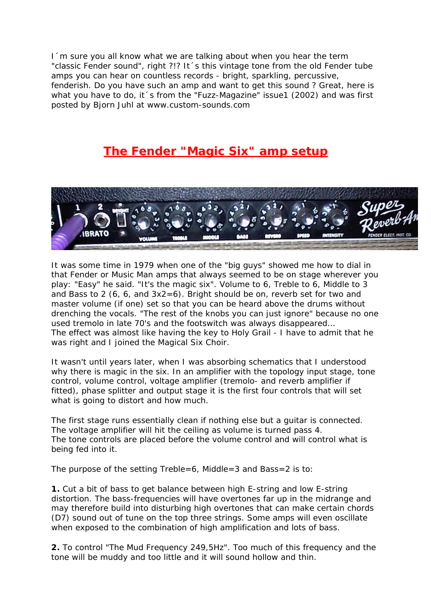I´m sure you all know what we are talking about when you hear the term "classic Fender sound", right ?!? It´s this vintage tone from the old Fender tube amps you can hear on countless records - bright, sparkling, percussive, fenderish. Do you have such an amp and want to get this sound ? Great, here is what you have to do, it 's from the "Fuzz-Magazine" issue1 (2002) and was first posted by Bjorn Juhl at www.custom-sounds.com

## **The Fender "Magic Six" amp setup**



It was some time in 1979 when one of the "big guys" showed me how to dial in that Fender or Music Man amps that always seemed to be on stage wherever you play: "Easy" he said. "It's the magic six". Volume to 6, Treble to 6, Middle to 3 and Bass to 2 (6, 6, and  $3x2=6$ ). Bright should be on, reverb set for two and master volume (if one) set so that you can be heard above the drums without drenching the vocals. "The rest of the knobs you can just ignore" because no one used tremolo in late 70's and the footswitch was always disappeared… The effect was almost like having the key to Holy Grail - I have to admit that he was right and I joined the Magical Six Choir.

It wasn't until years later, when I was absorbing schematics that I understood why there is magic in the six. In an amplifier with the topology input stage, tone control, volume control, voltage amplifier (tremolo- and reverb amplifier if fitted), phase splitter and output stage it is the first four controls that will set what is going to distort and how much.

The first stage runs essentially clean if nothing else but a guitar is connected. The voltage amplifier will hit the ceiling as volume is turned pass 4. The tone controls are placed before the volume control and will control what is being fed into it.

The purpose of the setting Treble=6, Middle=3 and Bass=2 is to:

**1.** Cut a bit of bass to get balance between high E-string and low E-string distortion. The bass-frequencies will have overtones far up in the midrange and may therefore build into disturbing high overtones that can make certain chords (D7) sound out of tune on the top three strings. Some amps will even oscillate when exposed to the combination of high amplification and lots of bass.

**2.** To control "The Mud Frequency 249,5Hz". Too much of this frequency and the tone will be muddy and too little and it will sound hollow and thin.